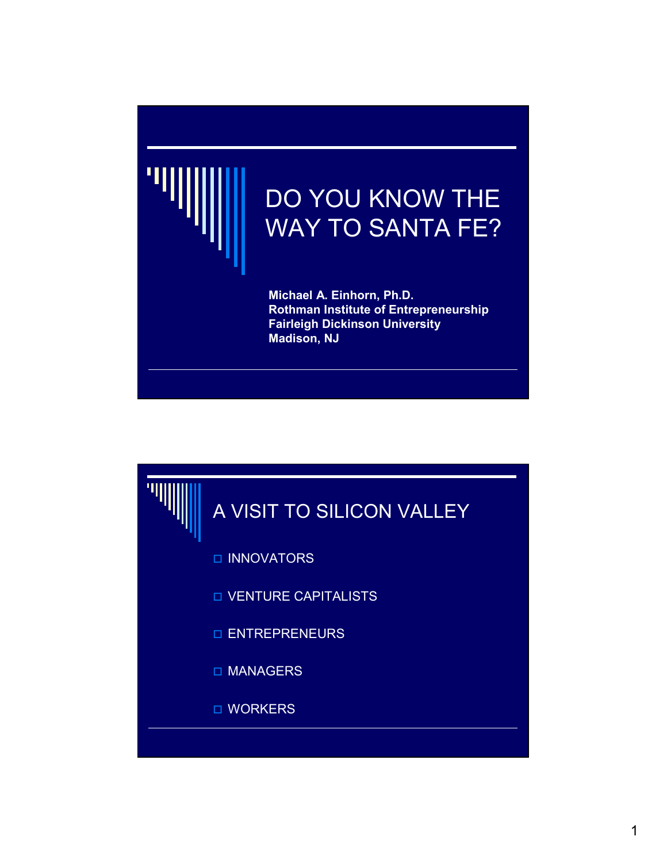

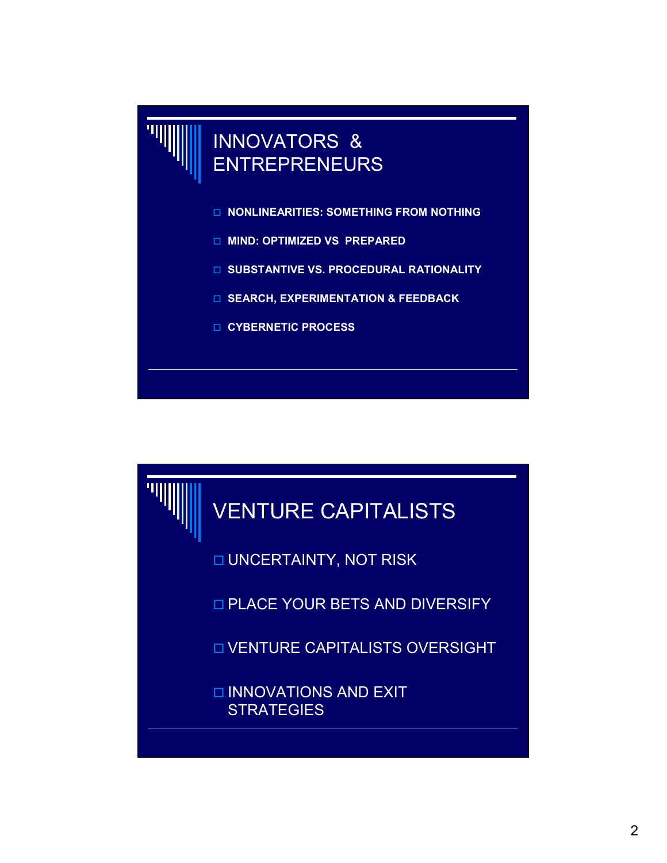

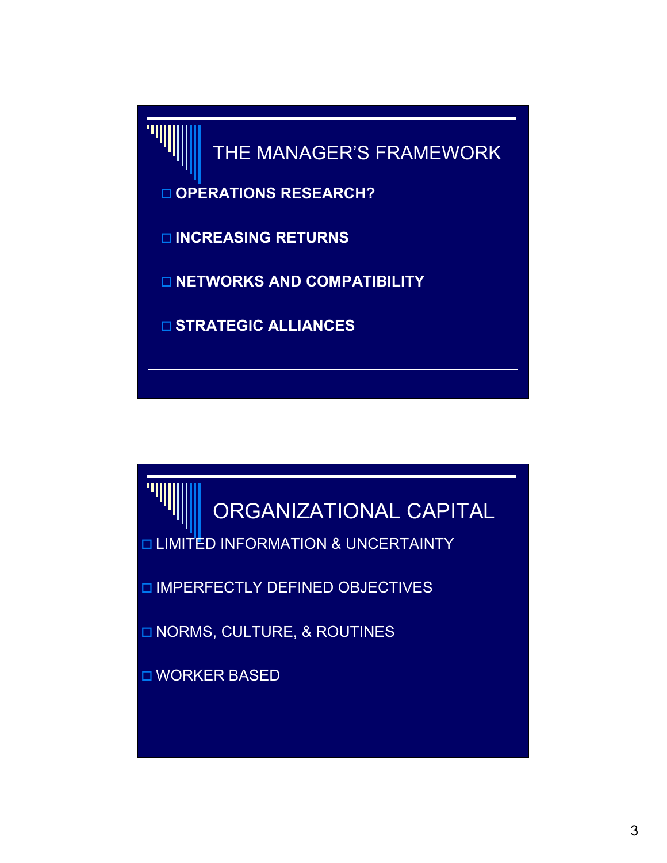

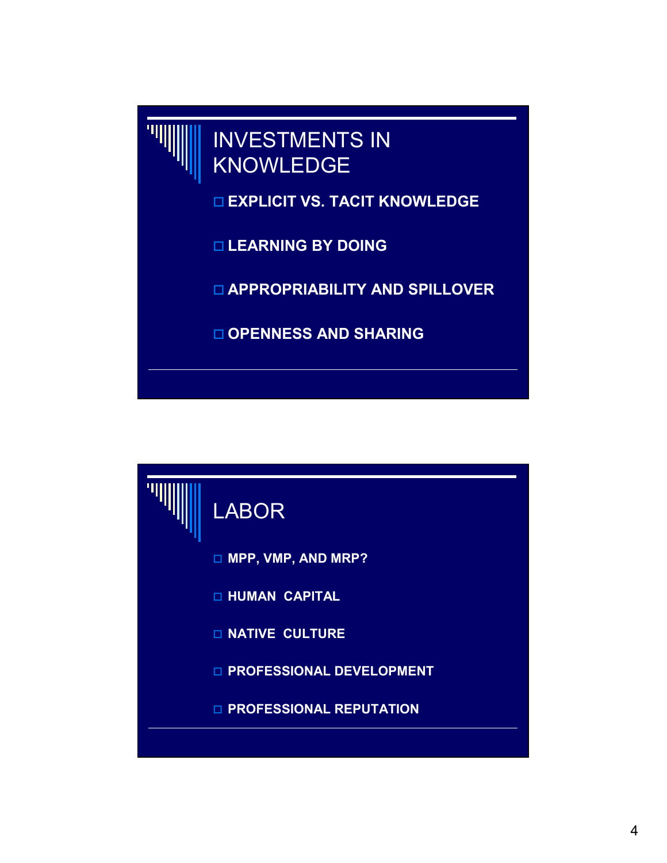

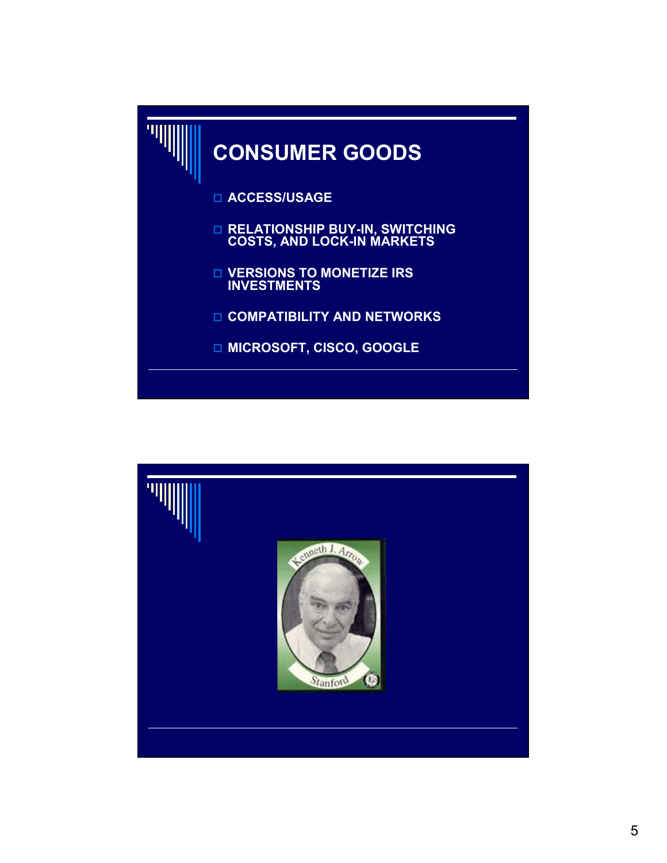

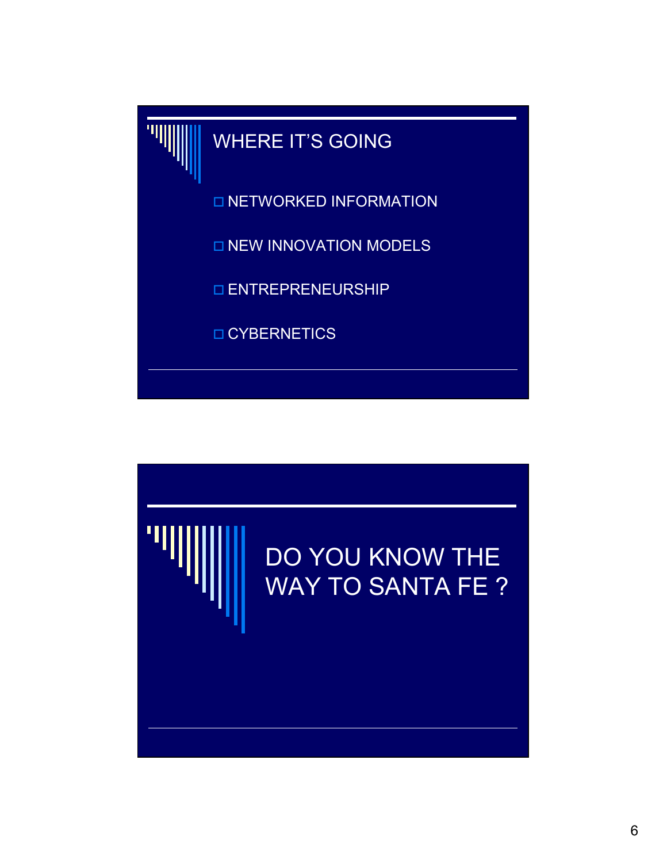